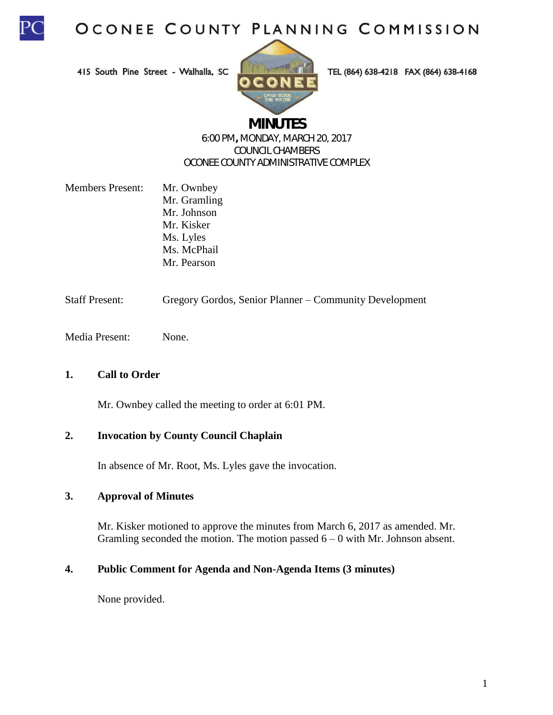

415 South Pine Street - Walhalla, SC



TEL (864) 638-4218 FAX (864) 638-4168

# **MINUTES**

#### 6:00 PM**,** MONDAY, MARCH 20, 2017 COUNCIL CHAMBERS OCONEE COUNTY ADMINISTRATIVE COMPLEX

- Members Present: Mr. Ownbey Mr. Gramling Mr. Johnson Mr. Kisker Ms. Lyles Ms. McPhail Mr. Pearson
- Staff Present: Gregory Gordos, Senior Planner Community Development
- Media Present: None.

# **1. Call to Order**

Mr. Ownbey called the meeting to order at 6:01 PM.

### **2. Invocation by County Council Chaplain**

In absence of Mr. Root, Ms. Lyles gave the invocation.

#### **3. Approval of Minutes**

Mr. Kisker motioned to approve the minutes from March 6, 2017 as amended. Mr. Gramling seconded the motion. The motion passed  $6 - 0$  with Mr. Johnson absent.

#### **4. Public Comment for Agenda and Non-Agenda Items (3 minutes)**

None provided.